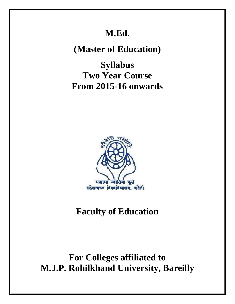# **M.Ed.**

**(Master of Education)**

**Syllabus Two Year Course From 2015-16 onwards** 



# **Faculty of Education**

# **For Colleges affiliated to M.J.P. Rohilkhand University, Bareilly**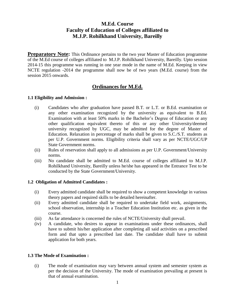# **M.Ed. Course Faculty of Education of Colleges affiliated to M.J.P. Rohilkhand University, Bareilly**

**Preparatory Note:** This Ordinance pertains to the two year Master of Education programme of the M.Ed course of colleges affiliated to M.J.P. Rohilkhand University, Bareilly. Upto session 2014-15 this programme was running in one year mode in the name of M.Ed. Keeping in view NCTE regulation -2014 the programme shall now be of two years (M.Ed. course) from the session 2015 onwards.

# **Ordinances for M.Ed.**

### **1.1 Eligibility and Admission :**

- (i) Candidates who after graduation have passed B.T. or L.T. or B.Ed. examination or any other examination recognized by the university as equivalent to B.Ed. Examination with at least 50% marks in the Bachelor's Degree of Education or any other qualification equivalent thereto of this or any other University/deemed university recognized by UGC, may be admitted for the degree of Master of Education. Relaxation in percentage of marks shall be given to S.C./S.T. students as per U.P. Government norms. Eligibility criteria shall vary as per NCTE/UGC/UP State Government norms.
- (ii) Rules of reservation shall apply to all admissions as per U.P. Government/University norms.
- (iii) No candidate shall be admitted to M.Ed. course of colleges affiliated to M.J.P. Rohilkhand University, Bareilly unless he/she has appeared in the Entrance Test to be conducted by the State Government/University.

# **1.2 Obligation of Admitted Candidates :**

- (i) Every admitted candidate shall be required to show a competent knowledge in various theory papers and required skills to be detailed hereinafter.
- (ii) Every admitted candidate shall be required to undertake field work, assignments, school observation, internship in a Teacher Education Institution etc. as given in the course.
- (iii) As far attendance is concerned the rules of NCTE/University shall prevail.
- (iv) A candidate, who desires to appear in examinations under these ordinances, shall have to submit his/her application after completing all said activities on a prescribed form and that upto a prescribed last date. The candidate shall have to submit application for both years.

# **1.3 The Mode of Examination :**

(i) The mode of examination may vary between annual system and semester system as per the decision of the University. The mode of examination prevailing at present is that of annual examination.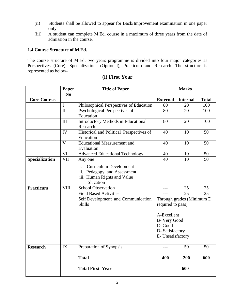- (ii) Students shall be allowed to appear for Back/Improvement examination in one paper only.
- (iii) A student can complete M.Ed. course in a maximum of three years from the date of admission in the course.

# **1.4 Course Structure of M.Ed.**

The course structure of M.Ed. two years programme is divided into four major categories as Perspectives (Core), Specializations (Optional), Practicum and Research. The structure is represented as below-

|                       | Paper<br>N <sub>0</sub> | <b>Title of Paper</b>                      | <b>Marks</b>                                   |                 |              |
|-----------------------|-------------------------|--------------------------------------------|------------------------------------------------|-----------------|--------------|
| <b>Core Courses</b>   |                         |                                            | <b>External</b>                                | <b>Internal</b> | <b>Total</b> |
|                       | $\mathbf I$             | Philosophical Perspectives of Education    | 80                                             | 20              | 100          |
|                       | $\mathbf{I}$            | Psychological Perspectives of              | 80                                             | 20              | 100          |
|                       |                         | Education                                  |                                                |                 |              |
|                       | III                     | <b>Introductory Methods in Educational</b> | 80                                             | 20              | 100          |
|                       |                         | Research                                   |                                                |                 |              |
|                       | IV                      | Historical and Political Perspectives of   | 40                                             | 10              | 50           |
|                       |                         | Education                                  |                                                |                 |              |
|                       | $\mathbf{V}$            | <b>Educational Measurement and</b>         | 40                                             | 10              | 50           |
|                       |                         | Evaluation                                 |                                                |                 |              |
|                       | <b>VI</b>               | <b>Advanced Educational Technology</b>     | 40                                             | 10              | 50           |
| <b>Specialization</b> | <b>VII</b>              | Any one                                    | 40                                             | 10              | 50           |
|                       |                         | i.<br><b>Curriculum Development</b>        |                                                |                 |              |
|                       |                         | ii. Pedagogy and Assessment                |                                                |                 |              |
|                       |                         | iii. Human Rights and Value                |                                                |                 |              |
|                       |                         | Education                                  |                                                |                 |              |
| Practicum             | <b>VIII</b>             | <b>School Observation</b>                  |                                                | 25              | 25           |
|                       |                         | <b>Field Based Activities</b>              | $---$                                          | 25              | 25           |
|                       |                         | Self Development and Communication         | Through grades (Minimum D<br>required to pass) |                 |              |
|                       |                         | <b>Skills</b>                              |                                                |                 |              |
|                       |                         |                                            | A-Excellent                                    |                 |              |
|                       |                         |                                            | B- Very Good<br>C-Good<br>D-Satisfactory       |                 |              |
|                       |                         |                                            |                                                |                 |              |
|                       |                         |                                            |                                                |                 |              |
|                       |                         |                                            | E- Unsatisfactory                              |                 |              |
| <b>Research</b>       | IX                      | Preparation of Synopsis                    |                                                | 50              | 50           |
|                       |                         | <b>Total</b>                               | 400                                            | 200             | 600          |
|                       |                         | <b>Total First Year</b>                    | 600                                            |                 |              |

# **(i) First Year**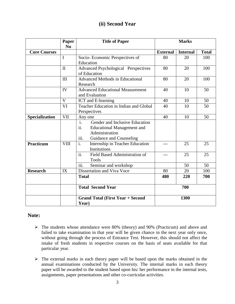# **(ii) Second Year**

|                       | Paper          | <b>Title of Paper</b>                                                                                                                               | <b>Marks</b>    |                 |              |
|-----------------------|----------------|-----------------------------------------------------------------------------------------------------------------------------------------------------|-----------------|-----------------|--------------|
| <b>Core Courses</b>   | N <sub>0</sub> |                                                                                                                                                     | <b>External</b> | <b>Internal</b> | <b>Total</b> |
|                       | I              | Socio-Economic Perspectives of<br>Education                                                                                                         | 80              | 20              | 100          |
|                       | $\mathbf{I}$   | <b>Advanced Psychological Perspectives</b><br>of Education                                                                                          | 80              | 20              | 100          |
|                       | III            | <b>Advanced Methods in Educational</b><br>Research                                                                                                  | 80              | 20              | 100          |
|                       | IV             | <b>Advanced Educational Measurement</b><br>and Evaluation                                                                                           | 40              | 10              | 50           |
|                       | V              | <b>ICT</b> and E-learning                                                                                                                           | 40              | 10              | 50           |
|                       | VI             | Teacher Education in Indian and Global<br>Perspectives                                                                                              | 40              | 10              | 50           |
| <b>Specialization</b> | <b>VII</b>     | Any one                                                                                                                                             | 40              | 10              | 50           |
|                       |                | $\overline{i}$ .<br>Gender and Inclusive Education<br>ii.<br><b>Educational Management and</b><br>Administration<br>iii.<br>Guidance and Counseling |                 |                 |              |
| Practicum             | <b>VIII</b>    | $\mathbf{i}$ .<br>Internship in Teacher Education<br>Institutions                                                                                   | ---             | 25              | 25           |
|                       |                | $\overline{ii}$ .<br>Field Based Administration of<br><b>Tools</b>                                                                                  | $---$           | 25              | 25           |
|                       |                | iii.<br>Seminar and workshop                                                                                                                        |                 | 50              | 50           |
| <b>Research</b>       | IX             | Dissertation and Viva Voce                                                                                                                          | 80              | 20              | 100          |
|                       |                | <b>Total</b>                                                                                                                                        | 480             | 220             | 700          |
|                       |                | <b>Total Second Year</b>                                                                                                                            |                 | 700             |              |
|                       |                | <b>Grand Total (First Year + Second</b><br>Year)                                                                                                    | 1300            |                 |              |

# **Note:**

- The students whose attendance were 80% (theory) and 90% (Practicum) and above and failed to take examination in that year will be given chance in the next year only once, without going through the process of Entrance Test. However, this should not affect the intake of fresh students in respective courses on the basis of seats available for that particular year.
- $\triangleright$  The external marks in each theory paper will be based upon the marks obtained in the annual examinations conducted by the University. The internal marks in each theory paper will be awarded to the student based upon his/ her performance in the internal tests, assignments, paper presentations and other co-curricular activities.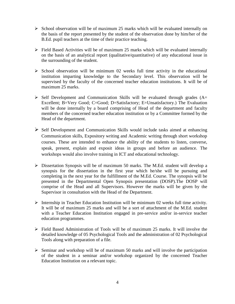- $\triangleright$  School observation will be of maximum 25 marks which will be evaluated internally on the basis of the report presented by the student of the observation done by him/her of the B.Ed. pupil teachers at the time of their practice teaching.
- $\triangleright$  Field Based Activities will be of maximum 25 marks which will be evaluated internally on the basis of an analytical report (qualitative/quantitative) of any educational issue in the surrounding of the student.
- $\triangleright$  School observation will be minimum 02 weeks full time activity in the educational institution imparting knowledge to the Secondary level. This observation will be supervised by the faculty of the concerned teacher education institutions. It will be of maximum 25 marks.
- $\triangleright$  Self Development and Communication Skills will be evaluated through grades (A= Excellent; B=Very Good; C=Good; D=Satisfactory; E=Unsatisfactory.) The Evaluation will be done internally by a board comprising of Head of the department and faculty members of the concerned teacher education institution or by a Committee formed by the Head of the department.
- $\triangleright$  Self Development and Communication Skills would include tasks aimed at enhancing Communication skills, Expository writing and Academic writing through short workshop courses. These are intended to enhance the ability of the students to listen, converse, speak, present, explain and exposit ideas in groups and before an audience. The workshops would also involve training in ICT and educational technology.
- Dissertation Synopsis will be of maximum 50 marks. The M.Ed. student will develop a synopsis for the dissertation in the first year which he/she will be pursuing and completing in the next year for the fulfillment of the M.Ed. Course. The synopsis will be presented in the Departmental Open Synopsis presentation (DOSP).The DOSP will comprise of the Head and all Supervisors. However the marks will be given by the Supervisor in consultation with the Head of the Department.
- $\triangleright$  Internship in Teacher Education Institution will be minimum 02 weeks full time activity. It will be of maximum 25 marks and will be a sort of attachment of the M.Ed. student with a Teacher Education Institution engaged in pre-service and/or in-service teacher education programmes.
- $\triangleright$  Field Based Administration of Tools will be of maximum 25 marks. It will involve the detailed knowledge of 05 Psychological Tools and the administration of 02 Psychological Tools along with preparation of a file.
- $\triangleright$  Seminar and workshop will be of maximum 50 marks and will involve the participation of the student in a seminar and/or workshop organized by the concerned Teacher Education Institution on a relevant topic.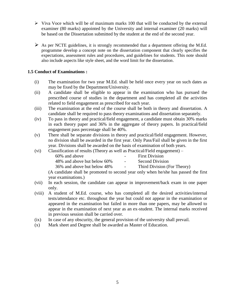- $\triangleright$  Viva Voce which will be of maximum marks 100 that will be conducted by the external examiner (80 marks) appointed by the University and internal examiner (20 marks) will be based on the Dissertation submitted by the student at the end of the second year.
- $\triangleright$  As per NCTE guidelines, it is strongly recommended that a department offering the M.Ed. programme develop a concept note on the dissertation component that clearly specifies the expectations, assessment rules and procedures, and guidelines for students. This note should also include aspects like style sheet, and the word limit for the dissertation.

# **1.5 Conduct of Examinations :**

- (i) The examination for two year M.Ed. shall be held once every year on such dates as may be fixed by the Department/University.
- (ii) A candidate shall be eligible to appear in the examination who has pursued the prescribed course of studies in the department and has completed all the activities related to field engagement as prescribed for each year.
- (iii) The examination at the end of the course shall be both in theory and dissertation. A candidate shall be required to pass theory examinations and dissertation separately.
- (iv) To pass in theory and practical/field engagement, a candidate must obtain 30% marks in each theory paper and 36% in the aggregate of theory papers. In practical/field engagement pass percentage shall be 40%.
- (v) There shall be separate divisions in theory and practical/field engagement. However, no division shall be awarded in the first year. Only Pass/Fail shall be given in the first year. Divisions shall be awarded on the basis of examination of both years.
- (vi) Classification of results (Theory as well as Practical/Field engagement) 60% and above - First Division 48% and above but below 60% - Second Division 36% and above but below 48% - Third Division (For Theory)

(A candidate shall be promoted to second year only when he/she has passed the first year examinations.)

- (vii) In each session, the candidate can appear in improvement/back exam in one paper only.
- (viii) A student of M.Ed. course, who has completed all the desired activities/internal tests/attendance etc. throughout the year but could not appear in the examination or appeared in the examination but failed in more than one papers, may be allowed to appear in the examination of next year as an ex-student. The internal marks received in previous session shall be carried over.
- (ix) In case of any obscurity, the general provision of the university shall prevail.
- (x) Mark sheet and Degree shall be awarded as Master of Education.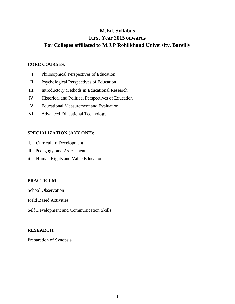# **M.Ed. Syllabus First Year 2015 onwards For Colleges affiliated to M.J.P Rohilkhand University, Bareilly**

### **CORE COURSES:**

- I. Philosophical Perspectives of Education
- II. Psychological Perspectives of Education
- III. Introductory Methods in Educational Research
- IV. Historical and Political Perspectives of Education
- V. Educational Measurement and Evaluation
- VI. Advanced Educational Technology

### **SPECIALIZATION (ANY ONE):**

- i. Curriculum Development
- ii. Pedagogy and Assessment
- iii. Human Rights and Value Education

# **PRACTICUM:**

School Observation

Field Based Activities

Self Development and Communication Skills

### **RESEARCH:**

Preparation of Synopsis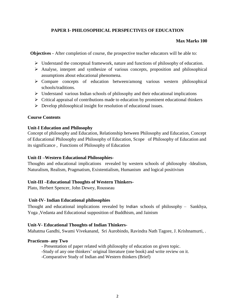# **PAPER I- PHILOSOPHICAL PERSPECTIVES OF EDUCATION**

### **Max Marks 100**

**Objectives -** After completion of course, the prospective teacher educators will be able to:

- Understand the conceptual framework, nature and functions of philosophy of education.
- Analyse, interpret and synthesize of various concepts, proposition and philosophical assumptions about educational phenomena.
- Compare concepts of education between/among various western philosophical schools/traditions.
- $\triangleright$  Understand various Indian schools of philosophy and their educational implications
- $\triangleright$  Critical appraisal of contributions made to education by prominent educational thinkers
- $\triangleright$  Develop philosophical insight for resolution of educational issues.

#### **Course Contents**

#### **Unit-I Education and Philosophy**

Concept of philosophy and Education, Relationship between Philosophy and Education, Concept of Educational Philosophy and Philosophy of Education, Scope of Philosophy of Education and its significance , Functions of Philosophy of Education

### **Unit-II –Western Educational Philosophies-**

Thoughts and educational implications revealed by western schools of philosophy -Idealism, Naturalism, Realism, Pragmatism, Existentialism, Humanism and logical positivism

### **Unit-III –Educational Thoughts of Western Thinkers-**

Plato, Herbert Spencer, John Dewey, Rousseau

#### **Unit-IV- Indian Educational philosophies**

Thought and educational implications revealed by Indian schools of philosophy – Sankhya, Yoga ,Vedanta and Educational supposition of Buddhism, and Jainism

#### **Unit-V- Educational Thoughts of Indian Thinkers-**

Mahatma Gandhi, Swami Vivekanand, Sri Aurobindo, Ravindra Nath Tagore, J. Krishnamurti, .

#### **Practicum- any Two**

- Presentation of paper related with philosophy of education on given topic.

-Study of any one thinkers' original literature (one book) and write review on it.

-Comparative Study of Indian and Western thinkers (Brief)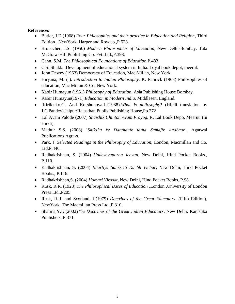### **References**

- Butler, J.D.(1968) *Four Philosophies and their practice in Education and Religion*, Third Edition , NewYork, Harper and Row co.,P.528.
- Brubacher, J.S. (1950) *Modern Philosophies of Education*, New Delhi-Bombay. Tata McGraw-Hill Publishing Co. Pvt. Ltd.,P.393.
- Cahn, S.M. *The Philosophical Foundations of Education*,P.433
- C.S. Shukla :Development of educational system in India. Loyal book depot, meerut.
- John Dewey (1963) Democracy of Education, Mac Millan, New York.
- Hiryana, M. ( ). *Introduction to Indian Philosophy*. K. Patirick (1963) Philosophies of education, Mac Millan & Co. New York.
- Kabir Humayun (1961) *Philosophy of Education*, Asia Publishing House Bombay.
- Kabir Humayun(1971) *Education in Modern India.* Middlesen. England.
- Kirilenko,G. And Korshunova,L.(1988).*What is philosophy*? (Hindi translation by J.C.Pandey),Jaipur:Rajasthan Pupils Publishing House,Pp.272
- Lal Avam Palode (2007) *Shaishik Chinton Avam Prayog*, R. Lal Book Depo. Meerut. (in Hindi).
- Mathur S.S. (2008) '*Shiksha ke Darshanik tatha Samajik Aadhaar'*, Agarwal Publications Agra-s.
- Park, J. *Selected Readings in the Philosophy of Education*, London, Macmillan and Co. Ltd.P.440.
- Radhakrishnan, S. (2004) *Uddeshyapurna Jeevan*, New Delhi, Hind Pocket Books., P.110.
- Radhakrishnan, S. (2004) *Bhartiya Sanskriti Kuchh Vichar*, New Delhi, Hind Pocket Books., P.116.
- Radhakrishnan,S. (2004) *Hamari Virasat*, New Delhi, Hind Pocket Books.,P.98.
- Rusk, R.R. (1928) *The Philosophical Bases of Education* ,London ,University of London Press Ltd.,P205.
- Rusk, R.R. and Scotland, J.(1979) *Doctrines of the Great Educators*, (Fifth Edition), NewYork, The Macmillan Press Ltd.,P.310.
- Sharma,Y.K.(2002)*The Doctrines of the Great Indian Educators*, New Delhi, Kanishka Publishers, P.371.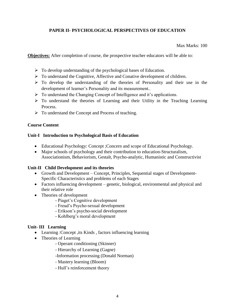# **PAPER II- PSYCHOLOGICAL PERSPECTIVES OF EDUCATION**

Max Marks: 100

**Objectives:** After completion of course, the prospective teacher educators will be able to:

- $\triangleright$  To develop understanding of the psychological bases of Education.
- $\triangleright$  To understand the Cognitive, Affective and Conative development of children.
- $\triangleright$  To develop the understanding of the theories of Personality and their use in the development of learner's Personality and its measurement..
- $\triangleright$  To understand the Changing Concept of Intelligence and it's applications.
- $\triangleright$  To understand the theories of Learning and their Utility in the Teaching Learning Process.
- $\triangleright$  To understand the Concept and Process of teaching.

# **Course Content**

# **Unit-I Introduction to Psychological Basis of Education**

- Educational Psychology: Concept ;Concern and scope of Educational Psychology.
- Major schools of psychology and their contribution to education-Structuralism, Associationism, Behaviorism, Gestalt, Psycho-analytic, Humanistic and Constructivist

# **Unit-II Child Development and its theories**

- Growth and Development Concept, Principles, Sequential stages of Development-Specific Characteristics and problems of each Stages
- Factors influencing development genetic, biological, environmental and physical and their relative role
- Theories of development
	- Piaget's Cognitive development
	- Freud's Psycho-sexual development
	- Erikson's psycho-social development
	- Kohlberg's moral development

# **Unit- III Learning**

- Learning :Concept ,its Kinds , factors influencing learning
- Theories of Learning
	- Operant conditioning (Skinner)
	- Hierarchy of Learning (Gagne)
	- -Information processing (Donald Norman)
	- Mastery learning (Bloom)
	- Hull's reinforcement theory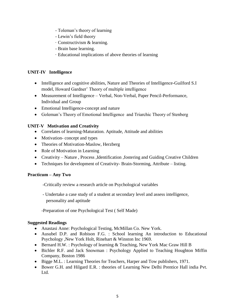- Toleman's theory of learning
- Lewin's field theory
- · Constructivism & learning.
- Brain base learning.
- · Educational implications of above theories of learning

# **UNIT-IV Intelligence**

- Intelligence and cognitive abilities, Nature and Theories of Intelligence-Guilford S.I model, Howard Gardner' Theory of multiple intelligence
- Measurement of Intelligence Verbal, Non-Verbal, Paper Pencil-Performance, Individual and Group
- Emotional Intelligence-concept and nature
- Goleman's Theory of Emotional Intelligence and Triarchic Theory of Stenberg

# **UNIT-V Motivation and Creativity**

- Correlates of learning-Maturation. Aptitude, Attitude and abilities
- Motivation-concept and types
- Theories of Motivation-Maslow, Herzberg
- Role of Motivation in Learning
- Creativity Nature , Process ,Identification ,fostering and Guiding Creative Children
- Techniques for development of Creativity- Brain-Storming, Attribute listing.

# **Practicum – Any Two**

-Critically review a research article on Psychological variables

 - Undertake a case study of a student at secondary level and assess intelligence, personality and aptitude

-Preparation of one Psychological Test ( Self Made)

# **Suggested Readings**

- Anastasi Anne: Psychological Testing, McMillan Co. New York.
- Ausubel D.P. and Robison F.G. : School learning An introduction to Educational Psychology ,New York Holt, Rinehart & Winston Inc 1969.
- Bernard H.W. : Psychology of learning & Teaching, New York Mac Graw Hill B
- Bichler R.F. and Jack Snowman : Psychology Applied to Teaching Houghton Miffin Company, Boston 1986
- Bigge M.L. : Learning Theories for Teachers, Harper and Tow publishers, 1971.
- Bower G.H. and Hilgard E.R. : theories of Learning New Delhi Prentice Hall india Pvt. Ltd.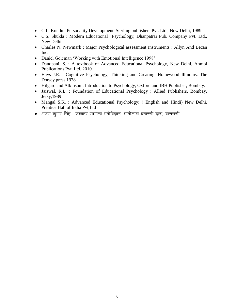- C.L. Kundu : Personality Development, Sterling publishers Pvt. Ltd., New Delhi, 1989
- C.S. Shukla : Modern Educational Psychology, Dhanpatrai Pub. Company Pvt. Ltd., New Delhi
- Charles N. Newmark : Major Psychological assessment Instruments : Allyn And Becan Inc.
- Daniel Goleman 'Working with Emotional Intelligence 1998'
- Dandpani, S. : A textbook of Advanced Educational Psychology, New Delhi, Anmol Publications Pvt. Ltd. 2010.
- Hays J.R. : Cognitive Psychology, Thinking and Creating. Homewood Illinoins. The Dorsey press 1978
- Hilgard and Atkinson : Introduction to Psychology, Oxford and IBH Publisher, Bombay.
- Jaiswal, R.L. : Foundation of Educational Psychology : Allied Publishers, Bombay. Jersy,1989
- Mangal S.K. : Advanced Educational Psychology; ( English and Hindi) New Delhi, Prentice Hall of India Pvt,Ltd
- $\bullet$  अरुण कुमार सिंह : उच्चतर सामान्य मनोविज्ञान, मोतीलाल बनारसी दास, वाराणसी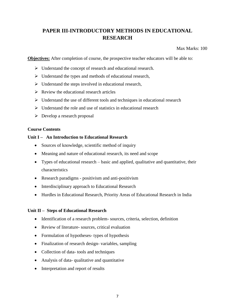# **PAPER III-INTRODUCTORY METHODS IN EDUCATIONAL RESEARCH**

Max Marks: 100

**Objectives:** After completion of course, the prospective teacher educators will be able to:

- $\triangleright$  Understand the concept of research and educational research.
- $\triangleright$  Understand the types and methods of educational research,
- $\triangleright$  Understand the steps involved in educational research,
- $\triangleright$  Review the educational research articles
- $\triangleright$  Understand the use of different tools and techniques in educational research
- $\triangleright$  Understand the role and use of statistics in educational research
- Develop a research proposal

#### **Course Contents**

### **Unit I – An Introduction to Educational Research**

- Sources of knowledge, scientific method of inquiry
- Meaning and nature of educational research, its need and scope
- Types of educational research basic and applied, qualitative and quantitative, their characteristics
- Research paradigms positivism and anti-positivism
- Interdisciplinary approach to Educational Research
- Hurdles in Educational Research, Priority Areas of Educational Research in India

#### **Unit II – Steps of Educational Research**

- Identification of a research problem-sources, criteria, selection, definition
- Review of literature- sources, critical evaluation
- Formulation of hypotheses- types of hypothesis
- Finalization of research design-variables, sampling
- Collection of data-tools and techniques
- Analysis of data- qualitative and quantitative
- Interpretation and report of results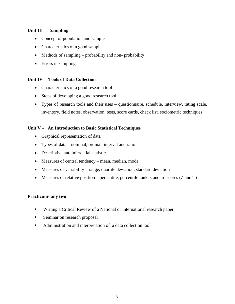# **Unit III – Sampling**

- Concept of population and sample
- Characteristics of a good sample
- $\bullet$  Methods of sampling probability and non-probability
- Errors in sampling

### **Unit IV – Tools of Data Collection**

- Characteristics of a good research tool
- Steps of developing a good research tool
- Types of research tools and their uses questionnaire, schedule, interview, rating scale, inventory, field notes, observation, tests, score cards, check list, sociometric techniques

### **Unit V – An Introduction to Basic Statistical Techniques**

- Graphical representation of data
- Types of data nominal, ordinal, interval and ratio
- Descriptive and inferential statistics
- Measures of central tendency mean, median, mode
- Measures of variability range, quartile deviation, standard deviation
- $\bullet$  Measures of relative position percentile, percentile rank, standard scores (Z and T)

### **Practicum- any two**

- Writing a Critical Review of a National or International research paper
- Seminar on research proposal
- Administration and interpretation of a data collection tool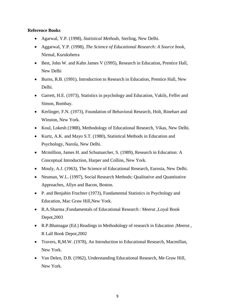### **Reference Books**

- Agarwal, Y.P. (1998), *Statistical Methods*, Sterling, New Delhi.
- Aggarwal, Y.P. (1998), *The Science of Educational Research: A Source book*, Nirmal, Kurukshetra
- Best, John W. and Kahn James V (1995), Research in Education, Prentice Hall, New Delhi
- Burns, R.B. (1991), Introduction to Research in Education, Prentice Hall, New Delhi.
- Garrett, H.E. (1973), Statistics in psychology and Education, Vakils, Feffer and Simon, Bombay.
- Kerlinger, F.N. (1973), Foundation of Behavioral Research, Holt, Rinehart and Winston, New York.
- Koul, Lokesh (1988), Methodology of Educational Research, Vikas, New Delhi.
- Kurtz, A.K. and Mayo S.T. (1980), Statistical Methods in Education and Psychology, Narola, New Delhi.
- Mcmillion, James H. and Schumarcher, S. (1989), Research in Education: A Conceptual Introduction, Harper and Collins, New York.
- Mouly, A.J. (1963), The Science of Educational Research, Eurosia, New Delhi.
- Neuman, W.L. (1997), Social Research Methods: Qualitative and Quantitative Approaches, Allyn and Bacon, Boston.
- P. and Benjabin Fruchter (1973), Fundamental Statistics in Psychology and Education, Mac Graw Hill,New York.
- R.A.Sharma ;Fundamentals of Educational Research : Meerut ,Loyal Book Depot,2003
- R.P.Bhatnagar (Ed.) Readings in Methodology of research in Education ;Meerut , R Lall Book Depot,2002
- Travers, R,M.W. (1978), An Introduction to Educational Research, Macmillan, New York.
- Van Delen, D.B. (1962), Understanding Educational Research, Me Graw Hill, New York.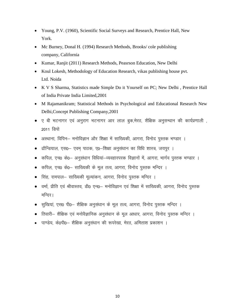- Young, P.V. (1960), Scientific Social Surveys and Research, Prentice Hall, New York.
- Mc Burney, Donal H. (1994) Research Methods, Brooks/cole publishing company, California
- Kumar, Ranjit (2011) Research Methods, Peasrson Education, New Delhi
- Koul Lokesh, Methodology of Education Research, vikas publishing house pvt. Ltd. Noida
- K V S Sharma, Statistics made Simple Do it Yourself on PC; New Delhi , Prentice Hall of India Private India Limited,2001
- M Rajamanikram; Statistical Methods in Psychological and Educational Research New Delhi,Concept Publishing Company,2001
- ए बी भटनागर एवं अनुराग भटनागर आर लाल बुक,मेरठ, शैक्षिक अनुसन्धान की कार्यप्रणाली , 2011 डिपो
- अस्थाना, विपिन– मनोविज्ञान और शिक्षा में साख्यिकी, आगरा, विनोद पुस्तक भण्डार ।
- ढौन्डियाल, एस0– एवम् पाठक, ए0–शिक्षा अनुसंधान का विधि शास्त्र, जयपुर ।
- कपिल, एच0 के0— अनुसंधान विधियां—व्यवहारपरक विज्ञानों में, आगरा, भार्गव पुस्तक भण्डार ।
- कपिल, एच0 के0– साख्यिकी के मूल तत्व, आगरा, विनोद पुस्तक मन्दिर ।
- सिंह, रामपाल– साख्यिकी मूल्यांकन, आगरा, विनोद पुस्तक मन्दिर ।
- वर्मा, प्रीति एवं श्रीवास्तव, डी0 एन0– मनोविज्ञान एवं शिक्षा में साख्यिकी, आगरा, विनोद पुस्तक मन्दिर।
- सुखियां, एस0 पी0— शैक्षिक अनुसंधान के मूल तत्व, आगरा, विनोद पुस्तक मन्दिर ।
- तिवारी– शैक्षिक एवं मनोवैज्ञानिक अनुसंधान के मूल आधार, आगरा, विनोद पुस्तक मन्दिर ।
- पाण्डेय, के0पी0- शैक्षिक अनुसंधान की रूपरेखा, मेरठ, अमिताश प्रकाशन ।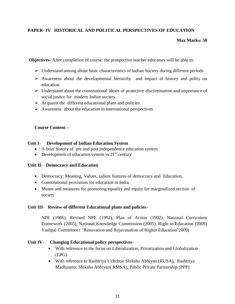# **PAPER- IV HISTORICAL AND POLITICAL PERSPECTIVES OF EDUCATION**

### **Max Marks: 50**

**Objectives-** After completion of course, the prospective teacher educators will be able to:

- $\triangleright$  Understand among about basic characteristics of Indian Society during different periods
- $\triangleright$  Awareness about the developmental hierarchy and impact of history and polity on education.
- Understand about the constitutional ideals of protective discrimination and importance of social justice for modern Indian society.
- $\triangleright$  Acquaint the different educational plans and policies
- $\triangleright$  Awareness about the education in international perspectives

### **Course Content –**

### **Unit I- Development of Indian Education System**

- A brief history of pre and post independence education system
- Development of education system in  $21<sup>st</sup>$  century

### **Unit II- Democracy and Education**

- Democracy: Meaning, Values, salient features of democracy and Education,
- Constitutional provisions for education in India
- Means and measures for promoting equality and equity for marginalized section of society

### **Unit III- Review of different Educational plans and policies-**

NPE (1986), Revised NPE (1992), Plan of Action (1992), National Curriculum Framework (2005), National Knowledge Commission (2005), Right to Education (2009) Yashpal Committee ( 'Renovation and Rejuvenation of Higher Education'2009)

### **Unit IV- Changing Educational policy perspectives-**

- With reference to the focus on Liberalization, Privatization and Globalization (LPG).
- With reference to Rashtriya Uchchtar Shiksha Abhiyan (RUSA), Rashtriya Madhyamic Shiksha Abhiyan( RMSA), Public Private Partnership (PPP)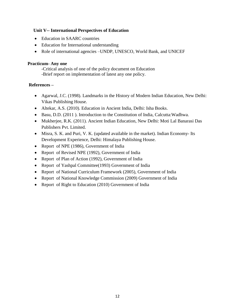# **Unit V-- International Perspectives of Education**

- Education in SAARC countries
- Education for International understanding
- Role of international agencies –UNDP, UNESCO, World Bank, and UNICEF

# **Practicum- Any one**

-Critical analysis of one of the policy document on Education -Brief report on implementation of latest any one policy.

# **References –**

- Agarwal, J.C. (1998). Landmarks in the History of Modern Indian Education, New Delhi: Vikas Publishing House.
- Altekar, A.S. (2010). Education in Ancient India, Delhi: Isha Books.
- Basu, D.D. (2011 ). Introduction to the Constitution of India, Calcutta:Wadhwa.
- Mukherjee, R.K. (2011). Ancient Indian Education, New Delhi: Moti Lal Banarasi Das Publishers Pvt. Limited.
- Misra, S. K. and Puri, V. K. (updated available in the market). Indian Economy- Its Development Experience, Delhi: Himalaya Publishing House.
- Report of NPE (1986), Government of India
- Report of Revised NPE (1992), Government of India
- Report of Plan of Action (1992), Government of India
- Report of Yashpal Committee(1993) Government of India
- Report of National Curriculum Framework (2005), Government of India
- Report of National Knowledge Commission (2009) Government of India
- Report of Right to Education (2010) Government of India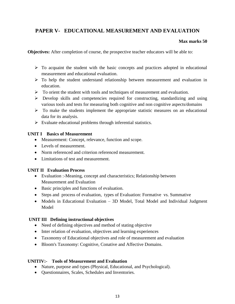# **PAPER V- EDUCATIONAL MEASUREMENT AND EVALUATION**

# **Max marks 50**

**Objectives:** After completion of course, the prospective teacher educators will be able to:

- $\triangleright$  To acquaint the student with the basic concepts and practices adopted in educational measurement and educational evaluation.
- $\triangleright$  To help the student understand relationship between measurement and evaluation in education.
- $\triangleright$  To orient the student with tools and techniques of measurement and evaluation.
- $\triangleright$  Develop skills and competencies required for constructing, standardizing and using various tools and tests for measuring both cognitive and non cognitive aspects/domains
- $\triangleright$  To make the students implement the appropriate statistic measures on an educational data for its analysis.
- $\triangleright$  Evaluate educational problems through inferential statistics.

# **UNIT I Basics of Measurement**

- Measurement: Concept, relevance, function and scope.
- Levels of measurement.
- Norm referenced and criterion referenced measurement.
- Limitations of test and measurement.

# **UNIT II Evaluation Process**

- Evaluation :-Meaning, concept and characteristics; Relationship between Measurement and Evaluation
- Basic principles and functions of evaluation.
- Steps and process of evaluation, types of Evaluation: Formative vs. Summative
- Models in Educational Evaluation 3D Model, Total Model and Individual Judgment **Model**

# **UNIT III Defining instructional objectives**

- Need of defining objectives and method of stating objective
- Inter relation of evaluation, objectives and learning experiences
- Taxonomy of Educational objectives and role of measurement and evaluation
- Bloom's Taxonomy: Cognitive, Conative and Affective Domains.

# **UNITIV:- Tools of Measurement and Evaluation**

- Nature, purpose and types (Physical, Educational, and Psychological).
- Questionnaires, Scales, Schedules and Inventories.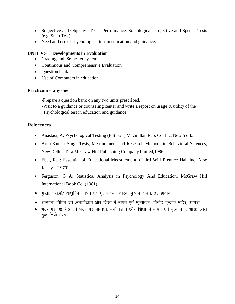- Subjective and Objective Tests; Performance, Sociological, Projective and Special Tests (e.g. Snap Test).
- Need and use of psychological test in education and guidance.

# **UNIT V:- Developments in Evaluation**

- Grading and Semester system
- Continuous and Comprehensive Evaluation
- Ouestion bank
- Use of Computers in education

### **Practicum - any one**

-Prepare a question bank on any two units prescribed.

-Visit to a guidance or counseling center and write a report on usage & utility of the Psychological test in education and guidance

# **References**

- Anastasi, A: Psychological Testing (Fifth-21) Macmillan Pub. Co. Inc. New York.
- Arun Kumar Singh Tests, Measurement and Research Methods in Behavioral Sciences, New Delhi , Tata McGraw Hill Publishing Company limited,1986
- Ebel, R.L: Essential of Educational Measurement, (Third Will Prentice Hall Inc. New Jersey. (1970)
- Ferguson, G A: Statistical Analysis in Psychology And Education, McGraw Hill International Book Co. (1981).
- गुप्ता, एस.पी.: आधुनिक मापन एवं मूलयांकन, शारदा पुस्तक भवन, इलाहाबाद।
- अस्थाना विपिन एवं :मनोविज्ञान और शिक्षा में मापन एवं मूल्यांकन, विनोद पुस्तक मंदिर, आगरा।
- भटनागर ए0 बी0 एवं भटनागर मीनाक्षी, मनोविज्ञान और शिक्षा में मापन एवं मूल्यांकन, आर0 लाल बुक डिपो मेरठ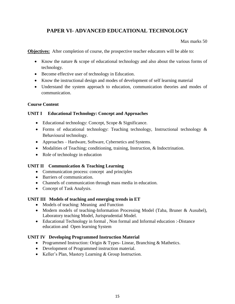# **PAPER VI- ADVANCED EDUCATIONAL TECHNOLOGY**

Max marks 50

**Objectives:** After completion of course, the prospective teacher educators will be able to:

- Know the nature & scope of educational technology and also about the various forms of technology.
- Become effective user of technology in Education.
- Know the instructional design and modes of development of self learning material
- Understand the system approach to education, communication theories and modes of communication.

# **Course Content**

# **UNIT I Educational Technology: Concept and Approaches**

- Educational technology: Concept, Scope & Significance.
- Forms of educational technology: Teaching technology, Instructional technology & Behavioural technology.
- Approaches Hardware, Software, Cybernetics and Systems.
- Modalities of Teaching; conditioning, training, Instruction, & Indoctrination.
- Role of technology in education

# **UNIT II Communication & Teaching Learning**

- Communication process: concept and principles
- Barriers of communication.
- Channels of communication through mass media in education.
- Concept of Task Analysis.

### **UNIT III Models of teaching and emerging trends in ET**

- Models of teaching: Meaning and Function
- Modern models of teaching-Information Processing Model (Taba, Bruner & Ausubel), Laboratory teaching Model, Jurisprudential Model.
- Educational Technology in formal , Non formal and Informal education :-Distance education and Open learning System

### **UNIT IV Developing Programmed Instruction Material**

- Programmed Instruction: Origin & Types- Linear, Branching & Mathetics.
- Development of Programmed instruction material.
- Keller's Plan, Mastery Learning & Group Instruction.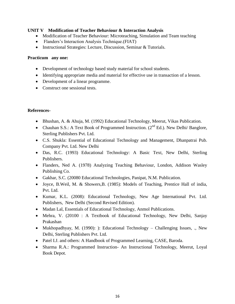### **UNIT V Modification of Teacher Behaviour & Interaction Analysis**

- Modification of Teacher Behaviour: Microteaching, Simulation and Team teaching
- Flanders's Interaction Analysis Technique.(FIAT)
- Instructional Strategies: Lecture, Discussion, Seminar & Tutorials.

#### **Practicum any one:**

- Development of technology based study material for school students.
- Identifying appropriate media and material for effective use in transaction of a lesson.
- Development of a linear programme.
- Construct one sessional tests.

### **References-**

- Bhushan, A. & Ahuja, M. (1992) Educational Technology, Meerut, Vikas Publication.
- Chauhan S.S.: A Text Book of Programmed Instruction.  $(2^{nd} Ed.)$ . New Delhi/ Banglore, Sterling Publishers Pvt. Ltd.
- C.S. Shukla: Essential of Educational Technology and Management, Dhanpatrai Pub. Company Pvt. Ltd. New Delhi
- Das, R.C. (1993) Educational Technology: A Basic Text, New Delhi, Sterling Publishers.
- Flanders, Ned A. (1978) Analyzing Teaching Behaviour, London, Addison Wasley Publishing Co.
- Gakhar, S.C. (20080 Educational Technologies, Panipat, N.M. Publication.
- Joyce, B.Weil, M. & Showers,B. (1985): Models of Teaching, Prentice Hall of india, Pvt. Ltd.
- Kumar, K.L. (2008): Educational Technology, New Age International Pvt. Ltd. Publishers, New Delhi (Second Revised Edition).
- Madan Lal, Essentials of Educational Technology, Anmol Publications.
- Mehra, V. (20100 : A Textbook of Educational Technology, New Delhi, Sanjay Prakashan
- Mukhopadhyay, M. (1990): ): Educational Technology Challenging Issues, ., New Delhi, Sterling Publishers Pvt. Ltd.
- Patel I.J. and others: A Handbook of Programmed Learning, CASE, Baroda.
- Sharma R.A.: Programmed Instruction- An Instructional Technology, Meerut, Loyal Book Depot.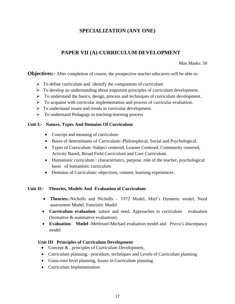# **SPECIALIZATION (ANY ONE)**

# **PAPER VII (A)-CURRICULUM DEVELOPMENT**

Max Marks: 50

**Objectives:** After completion of course, the prospective teacher educators will be able to:

- $\triangleright$  To define curriculum and identify the components of curriculum
- $\triangleright$  To develop an understanding about important principles of curriculum development.
- $\triangleright$  To understand the basics, design, process and techniques of curriculum development.
- $\triangleright$  To acquaint with curricular implementation and process of curricular evaluation.
- $\triangleright$  To understand issues and trends in curricular development.
- To understand Pedagogy in teaching-learning process

# **Unit I:- Nature, Types And Domains Of Curriculum**

- Concept and meaning of curriculum
- Bases of determinants of Curriculum:-Philosophical, Social and Psychological.
- Types of Curriculum:-Subject centered, Learner Centered, Community centered, Activity Based, Broad Field Curriculum and Core Curriculum.
- Humanistic curriculum : characteristics, purpose, role of the teacher, psychological basis of humanistic curriculum
- Domains of Curriculum:-objectives, content, learning experiences.

# **Unit II:- Theories, Models And Evaluation of Curriculum**

- **Theories:-**Nicholls and Nicholls 1972 Model, Miel's Dynamic model, Need assessment Model, Futuristic Model
- **Curriculum evaluation**: nature and need, Approaches to curriculum evaluation (formative & summative evaluation).
- **Evaluation Model** -Metfessel-Michael evaluation model and Provu's discrepancy model

# **Unit III Principles of Curriculum Development**

- Concept  $\&$ , principles of Curriculum Development,
- Curriculum planning;- procedure, techniques and Levels of Curriculum planning
- Grass-root level planning, Issues in Curriculum planning
- Curriculum Implementation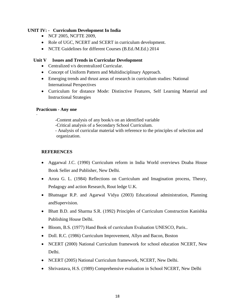### **UNIT IV: - Curriculum Development In India**

- NCF 2005, NCFTE 2009,
- Role of UGC, NCERT and SCERT in curriculum development.
- NCTE Guidelines for different Courses (B.Ed./M.Ed.) 2014

# **Unit V Issues and Trends in Curricular Development**

- Centralized v/s decentralized Curricular.
- Concept of Uniform Pattern and Multidisciplinary Approach.
- Emerging trends and thrust areas of research in curriculum studies: National International Perspectives
- Curriculum for distance Mode: Distinctive Features, Self Learning Material and Instructional Strategies

### **Practicum - Any one**

·

-Content analysis of any book/s on an identified variable

-Critical analysis of a Secondary School Curriculum.

- Analysis of curricular material with reference to the principles of selection and organization.

# **REFERENCES**

- Aggarwal J.C. (1990) Curriculum reform in India World overviews Doaba House Book Seller and Publisher, New Delhi.
- Arora G. L. (1984) Reflections on Curriculum and Imagination process, Theory, Pedagogy and action Research, Rout ledge U.K.
- Bhatnagar R.P. and Agarwal Vidya (2003) Educational administration, Planning andSupervision.
- Bhatt B.D. and Sharma S.R. (1992) Principles of Curriculum Construction Kanishka Publishing House Delhi.
- Bloom, B.S. (1977) Hand Book of curriculum Evaluation UNESCO, Paris..
- Doll. R.C. (1986) Curriculum Improvement, Allyn and Bacon, Boston
- NCERT (2000) National Curriculum framework for school education NCERT, New Delhi.
- NCERT (2005) National Curriculum framework, NCERT, New Delhi.
- Shrivastava, H.S. (1989) Comprehensive evaluation in School NCERT, New Delhi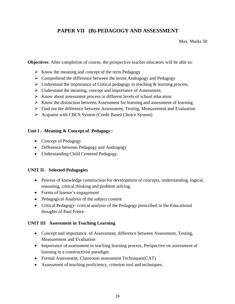# **PAPER VII (B)-PEDAGOGY AND ASSESSMENT**

Max. Marks 50

**Objectives**: After completion of course, the prospective teacher educators will be able to:

- $\triangleright$  Know the meaning and concept of the term Pedagogy
- $\triangleright$  Comprehend the difference between the terms Andragogy and Pedagogy
- $\triangleright$  Understand the importance of Critical pedagogy in teaching & learning process.
- $\triangleright$  Understand the meaning, concept and importance of Assessment,
- $\triangleright$  Know about assessment process in different levels of school education
- $\triangleright$  Know the distinction between Assessment for learning and assessment of learning
- $\triangleright$  Find out the difference between Assessment, Testing, Measurement and Evaluation
- $\triangleright$  Acquaint with CBCS System (Credit Based Choice System)

# **Unit I - Meaning & Concept of Pedagogy:-**

- Concept of Pedagogy
- Difference between Pedagogy and Andragogy
- Understanding Child Centered Pedagogy.

# **UNIT II- Selected Pedagogies**

- Process of knowledge construction for development of concepts, understanding, logical, reasoning, critical thinking and problem solving.
- Forms of learner's engagement
- Pedagogical Analysis of the subject content
- Critical Pedagogy**-** critical analysis of the Pedagogy prescribed in the Educational thoughts of Paul Freire.

# **UNIT III Assessment in Teaching Learning**

- Concept and importance of Assessment, difference between Assessment, Testing, Measurement and Evaluation
- Importance of assessment in teaching learning process, Perspective on assessment of learning in a constructivist paradigm
- Formal Assessment, Classroom assessment Techniques(CAT)
- Assessment of teaching proficiency, criterion tool and techniques.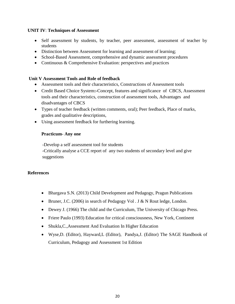### **UNIT IV**: **Techniques of Assessment**

- Self assessment by students, by teacher, peer assessment, assessment of teacher by students
- Distinction between Assessment for learning and assessment of learning;
- School-Based Assessment, comprehensive and dynamic assessment procedures
- Continuous & Comprehensive Evaluation: perspectives and practices

### **Unit V Assessment Tools and Role of feedback**

- Assessment tools and their characteristics, Constructions of Assessment tools
- Credit Based Choice System**:-**Concept, features and significance of CBCS, Assessment tools and their characteristics, construction of assessment tools, Advantages and disadvantages of CBCS
- Types of teacher feedback (written comments, oral); Peer feedback, Place of marks, grades and qualitative descriptions,
- Using assessment feedback for furthering learning.

### **Practicum- Any one**

-Develop a self assessment tool for students -Critically analyse a CCE report of any two students of secondary level and give suggestions

### **References**

- Bhargava S.N. (2013) Child Development and Pedagogy, Pragun Publications
- Fruner, J.C. (2006) in search of Pedagogy Vol . J & N Rout ledge, London.
- Dewey J. (1966) The child and the Curriculum, The University of Chicago Press.
- Friere Paulo (1993) Education for critical consciousness, New York, Continent
- Shukla, C., Assessment And Evaluation In Higher Education
- [Wyse,](http://www.amazon.com/s/ref=dp_byline_sr_book_1?ie=UTF8&text=Dominic+Wyse&search-alias=books&field-author=Dominic+Wyse&sort=relevancerank)D. (Editor), [Hayward,](http://www.amazon.com/s/ref=dp_byline_sr_book_2?ie=UTF8&text=Louise+Hayward&search-alias=books&field-author=Louise+Hayward&sort=relevancerank)L (Editor), [Pandya,](http://www.amazon.com/s/ref=dp_byline_sr_book_3?ie=UTF8&text=Jessica+Pandya&search-alias=books&field-author=Jessica+Pandya&sort=relevancerank)J. (Editor) The SAGE Handbook of Curriculum, Pedagogy and Assessment 1st Edition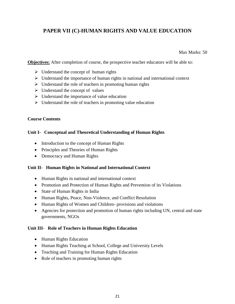# **PAPER VII (C)-HUMAN RIGHTS AND VALUE EDUCATION**

Max Marks: 50

**Objectives:** After completion of course, the prospective teacher educators will be able to:

- $\triangleright$  Understand the concept of human rights
- $\triangleright$  Understand the importance of human rights in national and international context
- $\triangleright$  Understand the role of teachers in promoting human rights
- $\triangleright$  Understand the concept of values
- $\triangleright$  Understand the importance of value education
- $\triangleright$  Understand the role of teachers in promoting value education

### **Course Contents**

# **Unit I- Conceptual and Theoretical Understanding of Human Rights**

- Introduction to the concept of Human Rights
- Principles and Theories of Human Rights
- Democracy and Human Rights

# **Unit II- Human Rights in National and International Context**

- Human Rights in national and international context
- Promotion and Protection of Human Rights and Prevention of its Violations
- State of Human Rights in India
- Human Rights, Peace, Non-Violence, and Conflict Resolution
- Human Rights of Women and Children- provisions and violations
- Agencies for protection and promotion of human rights including UN, central and state governments, NGOs

# **Unit III- Role of Teachers in Human Rights Education**

- Human Rights Education
- Human Rights Teaching at School, College and University Levels
- Teaching and Training for Human Rights Education
- Role of teachers in promoting human rights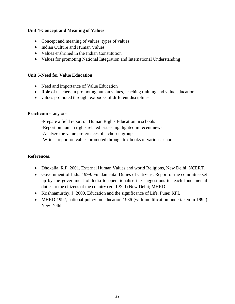### **Unit 4-Concept and Meaning of Values**

- Concept and meaning of values, types of values
- Indian Culture and Human Values
- Values enshrined in the Indian Constitution
- Values for promoting National Integration and International Understanding

#### **Unit 5-Need for Value Education**

- Need and importance of Value Education
- Role of teachers in promoting human values, teaching training and value education
- values promoted through textbooks of different disciplines

#### **Practicum -** any one

-Prepare a field report on Human Rights Education in schools

-Report on human rights related issues highlighted in recent news

-Analyze the value preferences of a chosen group

-Write a report on values promoted through textbooks of various schools.

### **References:**

- Dhokalia, R.P. 2001. External Human Values and world Religions, New Delhi, NCERT.
- Government of India 1999. Fundamental Duties of Citizens: Report of the committee set up by the government of India to operationalise the suggestions to teach fundamental duties to the citizens of the country (vol.I & II) New Delhi; MHRD.
- Krishnamurthy, J. 2000. Education and the significance of Life, Pune: KFI.
- MHRD 1992, national policy on education 1986 (with modification undertaken in 1992) New Delhi.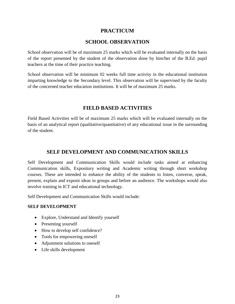# **PRACTICUM**

# **SCHOOL OBSERVATION**

School observation will be of maximum 25 marks which will be evaluated internally on the basis of the report presented by the student of the observation done by him/her of the B.Ed. pupil teachers at the time of their practice teaching.

School observation will be minimum 02 weeks full time activity in the educational institution imparting knowledge to the Secondary level. This observation will be supervised by the faculty of the concerned teacher education institutions. It will be of maximum 25 marks.

# **FIELD BASED ACTIVITIES**

Field Based Activities will be of maximum 25 marks which will be evaluated internally on the basis of an analytical report (qualitative/quantitative) of any educational issue in the surrounding of the student.

# **SELF DEVELOPMENT AND COMMUNICATION SKILLS**

Self Development and Communication Skills would include tasks aimed at enhancing Communication skills, Expository writing and Academic writing through short workshop courses. These are intended to enhance the ability of the students to listen, converse, speak, present, explain and exposit ideas in groups and before an audience. The workshops would also involve training in ICT and educational technology.

Self Development and Communication Skills would include:

# **SELF DEVELOPMENT**

- Explore, Understand and Identify yourself
- Presenting yourself
- How to develop self confidence?
- Tools for empowering oneself
- Adjustment solutions to oneself
- Life skills development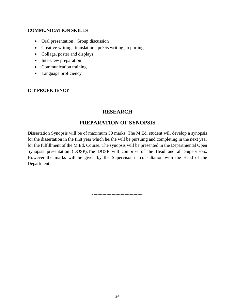# **COMMUNICATION SKILLS**

- Oral presentation, Group discussion
- Creative writing , translation , précis writing , reporting
- Collage, poster and displays
- Interview preparation
- Communication training
- Language proficiency

# **ICT PROFICIENCY**

# **RESEARCH**

# **PREPARATION OF SYNOPSIS**

Dissertation Synopsis will be of maximum 50 marks. The M.Ed. student will develop a synopsis for the dissertation in the first year which he/she will be pursuing and completing in the next year for the fulfillment of the M.Ed. Course. The synopsis will be presented in the Departmental Open Synopsis presentation (DOSP).The DOSP will comprise of the Head and all Supervisors. However the marks will be given by the Supervisor in consultation with the Head of the Department.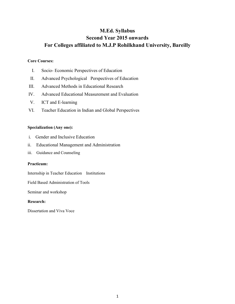# **M.Ed. Syllabus Second Year 2015 onwards For Colleges affiliated to M.J.P Rohilkhand University, Bareilly**

#### **Core Courses:**

- I. Socio- Economic Perspectives of Education
- II. Advanced Psychological Perspectives of Education
- III. Advanced Methods in Educational Research
- IV. Advanced Educational Measurement and Evaluation
- V. ICT and E-learning
- VI. Teacher Education in Indian and Global Perspectives

### **Specialization (Any one):**

- i. Gender and Inclusive Education
- ii. Educational Management and Administration
- iii. Guidance and Counseling

### **Practicum:**

Internship in Teacher Education Institutions

Field Based Administration of Tools

Seminar and workshop

#### **Research:**

Dissertation and Viva Voce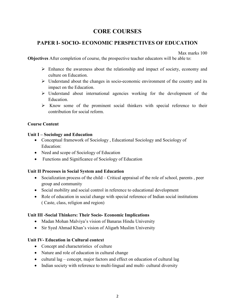# **CORE COURSES**

# **PAPER I- SOCIO- ECONOMIC PERSPECTIVES OF EDUCATION**

Max marks 100

**Objectives** After completion of course, the prospective teacher educators will be able to:

- $\triangleright$  Enhance the awareness about the relationship and impact of society, economy and culture on Education.
- $\triangleright$  Understand about the changes in socio-economic environment of the country and its impact on the Education.
- $\triangleright$  Understand about international agencies working for the development of the Education.
- $\triangleright$  Know some of the prominent social thinkers with special reference to their contribution for social reform.

# **Course Content**

# **Unit I – Sociology and Education**

- Conceptual framework of Sociology , Educational Sociology and Sociology of Education:
- Need and scope of Sociology of Education
- Functions and Significance of Sociology of Education

# **Unit II Processes in Social System and Education**

- Socialization process of the child Critical appraisal of the role of school, parents, peer group and community
- Social mobility and social control in reference to educational development
- Role of education in social change with special reference of Indian social institutions ( Caste, class, religion and region)

# **Unit III -Social Thinkers: Their Socio- Economic Implications**

- Madan Mohan Malviya's vision of Banaras Hindu University
- Sir Syed Ahmad Khan's vision of Aligarh Muslim University

# **Unit IV- Education in Cultural context**

- Concept and characteristics of culture
- Nature and role of education in cultural change
- cultural lag concept, major factors and effect on education of cultural lag
- Indian society with reference to multi-lingual and multi- cultural diversity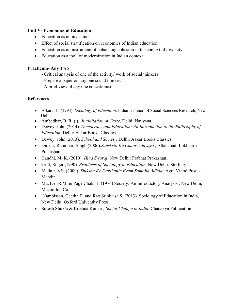# **Unit V- Economics of Education**

- Education as an investment
- Effect of social stratification on economics of Indian education
- Education as an instrument of enhancing cohesion in the context of diversity
- Education as a tool of modernization in Indian context

# **Practicum- Any Two**

- Critical analysis of one of the activity/ work of social thinkers
- -Prepare a paper on any one social thinker.
- A brief view of any one educationist

# **References-**

.

- Aikara, J., (1994). *Sociology of Education*. Indian Council of Social Sciences Research, New Delhi
- Ambedkar, B. R. ( ). *Annihilation of Caste*, Delhi: Navyana.
- Dewey, John (2014). *Democracy and Education: An Introduction to the Philosophy of Education*, Delhi: Aakar Books Classics.
- Dewey, John (2013). *School and Society*, Delhi: Aakar Books Classics.
- Dinkar, Ramdhari Singh (2006).*Sanskriti Ke Chaar Adhyaya* , Allahabad: Lokbharti Prakashan.
- Gandhi, M. K. (2010). *Hind Swaraj*, New Delhi: Prabhat Prakashan.
- Grid, Roger (1990). *Problems of Sociology in Education*, New Delhi: Sterling.
- Mathur, S.S. (2009). *Shiksha Ke Darshanic Evam Samajik Adhaar*,Agra:Vinod Pustak Mandir.
- MacIver R.M. & Page Chals H. (1974) Society: An Introductory Analysis, New Delhi, Macmillon Co.
- Nambissan, Geetha B. and Rao Srinivasa S. (2013). Sociology of Education in India, New Delhi: Oxford University Press.
- Suresh Shukla & Krishna Kumar *, Social Change in India*, Chanakya Publication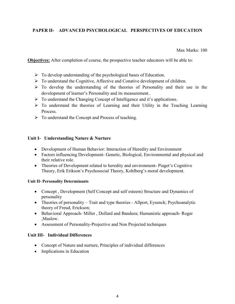# **PAPER II- ADVANCED PSYCHOLOGICAL PERSPECTIVES OF EDUCATION**

Max Marks: 100

**Objectives:** After completion of course, the prospective teacher educators will be able to:

- $\triangleright$  To develop understanding of the psychological bases of Education.
- To understand the Cognitive, Affective and Conative development of children.
- $\triangleright$  To develop the understanding of the theories of Personality and their use in the development of learner's Personality and its measurement..
- $\triangleright$  To understand the Changing Concept of Intelligence and it's applications.
- $\triangleright$  To understand the theories of Learning and their Utility in the Teaching Learning Process.
- $\triangleright$  To understand the Concept and Process of teaching.

# **Unit I- Understanding Nature & Nurture**

- Development of Human Behavior: Interaction of Heredity and Environment
- Factors influencing Development- Genetic, Biological, Environmental and physical and their relative role.
- Theories of Development related to heredity and environment-Piaget's Cognitive Theory, Erik Erikson's Psychosocial Theory, Kohlberg's moral development.

### **Unit II- Personality Determinants**

- Concept, Development (Self Concept and self esteem) Structure and Dynamics of personality
- Theories of personality Trait and type theories Allport, Eysenck; Psychoanalytic theory of Freud, Erickson;
- Behavioral Approach- Miller , Dollard and Bandura; Humanistic approach- Roger ,Maslow.
- Assessment of Personality-Projective and Non Projected techniques

# **Unit III- Individual Differences**

- Concept of Nature and nurture, Principles of individual differences
- Implications in Education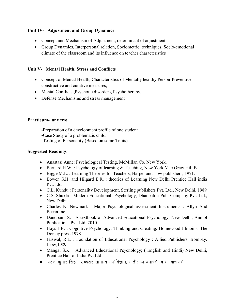# **Unit IV- Adjustment and Group Dynamics**

- Concept and Mechanism of Adjustment, determinant of adjustment
- Group Dynamics, Interpersonal relation, Sociometric techniques, Socio-emotional climate of the classroom and its influence on teacher characteristics

# **Unit V- Mental Health, Stress and Conflicts**

- Concept of Mental Health, Characteristics of Mentally healthy Person-Preventive, constructive and curative measures,
- Mental Conflicts , Psychotic disorders, Psychotherapy,
- Defense Mechanisms and stress management

# **Practicum- any two**

- -Preparation of a development profile of one student
- -Case Study of a problematic child
- -Testing of Personality (Based on some Traits)

# **Suggested Readings**

- Anastasi Anne: Psychological Testing, McMillan Co. New York.
- Bernard H.W. : Psychology of learning & Teaching, New York Mac Graw Hill B
- Bigge M.L. : Learning Theories for Teachers, Harper and Tow publishers, 1971.
- Bower G.H. and Hilgard E.R. : theories of Learning New Delhi Prentice Hall india Pvt. Ltd.
- C.L. Kundu : Personality Development, Sterling publishers Pvt. Ltd., New Delhi, 1989
- C.S. Shukla : Modern Educational Psychology, Dhanpatrai Pub. Company Pvt. Ltd., New Delhi
- Charles N. Newmark : Major Psychological assessment Instruments : Allyn And Becan Inc.
- Dandpani, S. : A textbook of Advanced Educational Psychology, New Delhi, Anmol Publications Pvt. Ltd. 2010.
- Hays J.R. : Cognitive Psychology, Thinking and Creating. Homewood Illinoins. The Dorsey press 1978
- Jaiswal, R.L. : Foundation of Educational Psychology : Allied Publishers, Bombay. Jersy,1989
- Mangal S.K. : Advanced Educational Psychology; ( English and Hindi) New Delhi, Prentice Hall of India Pvt,Ltd
- $\bullet$  अरुण कुमार सिंह : उच्चतर सामान्य मनोविज्ञान, मोतीलाल बनारसी दास, वाराणसी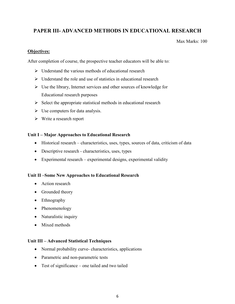# **PAPER III- ADVANCED METHODS IN EDUCATIONAL RESEARCH**

Max Marks: 100

# **Objectives:**

After completion of course, the prospective teacher educators will be able to:

- $\triangleright$  Understand the various methods of educational research
- $\triangleright$  Understand the role and use of statistics in educational research
- $\triangleright$  Use the library, Internet services and other sources of knowledge for Educational research purposes
- $\triangleright$  Select the appropriate statistical methods in educational research
- $\triangleright$  Use computers for data analysis.
- Write a research report

# **Unit I – Major Approaches to Educational Research**

- Historical research characteristics, uses, types, sources of data, criticism of data
- Descriptive research characteristics, uses, types
- Experimental research experimental designs, experimental validity

# **Unit II –Some New Approaches to Educational Research**

- Action research
- Grounded theory
- Ethnography
- Phenomenology
- Naturalistic inquiry
- Mixed methods

# **Unit III – Advanced Statistical Techniques**

- Normal probability curve- characteristics, applications
- Parametric and non-parametric tests
- Test of significance one tailed and two tailed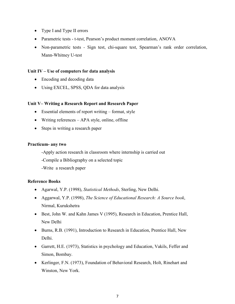- Type I and Type II errors
- Parametric tests t-test, Pearson's product moment correlation, ANOVA
- Non-parametric testsSign test, chi-square test, Spearman's rank order correlation, Mann-Whitney U-test

### **Unit IV – Use of computers for data analysis**

- Encoding and decoding data
- Using EXCEL, SPSS, QDA for data analysis

### **Unit V– Writing a Research Report and Research Paper**

- Essential elements of report writing format, style
- Writing references APA style, online, offline
- Steps in writing a research paper

### **Practicum- any two**

-Apply action research in classroom where internship is carried out

-Compile a Bibliography on a selected topic

-Write a research paper

### **Reference Books**

- Agarwal, Y.P. (1998), *Statistical Methods*, Sterling, New Delhi.
- Aggarwal, Y.P. (1998), *The Science of Educational Research: A Source book*, Nirmal, Kurukshetra
- Best, John W. and Kahn James V (1995), Research in Education, Prentice Hall, New Delhi
- Burns, R.B. (1991), Introduction to Research in Education, Prentice Hall, New Delhi.
- Garrett, H.E. (1973), Statistics in psychology and Education, Vakils, Feffer and Simon, Bombay.
- Kerlinger, F.N. (1973), Foundation of Behavioral Research, Holt, Rinehart and Winston, New York.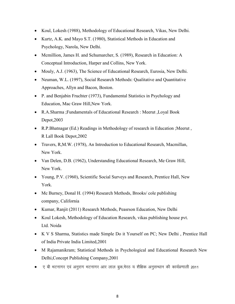- Koul, Lokesh (1988), Methodology of Educational Research, Vikas, New Delhi.
- Kurtz, A.K. and Mayo S.T. (1980), Statistical Methods in Education and Psychology, Narola, New Delhi.
- Mcmillion, James H. and Schumarcher, S. (1989), Research in Education: A Conceptual Introduction, Harper and Collins, New York.
- Mouly, A.J. (1963), The Science of Educational Research, Eurosia, New Delhi.
- Neuman, W.L. (1997), Social Research Methods: Qualitative and Quantitative Approaches, Allyn and Bacon, Boston.
- P. and Benjabin Fruchter (1973), Fundamental Statistics in Psychology and Education, Mac Graw Hill,New York.
- R.A.Sharma ;Fundamentals of Educational Research : Meerut ,Loyal Book Depot,2003
- R.P.Bhatnagar (Ed.) Readings in Methodology of research in Education ;Meerut , R Lall Book Depot,2002
- Travers, R,M.W. (1978), An Introduction to Educational Research, Macmillan, New York.
- Van Delen, D.B. (1962), Understanding Educational Research, Me Graw Hill, New York.
- Young, P.V. (1960), Scientific Social Surveys and Research, Prentice Hall, New York.
- Mc Burney, Donal H. (1994) Research Methods, Brooks/cole publishing company, California
- Kumar, Ranjit (2011) Research Methods, Peasrson Education, New Delhi
- Koul Lokesh, Methodology of Education Research, vikas publishing house pvt. Ltd. Noida
- K V S Sharma, Statistics made Simple Do it Yourself on PC; New Delhi , Prentice Hall of India Private India Limited,2001
- M Rajamanikram; Statistical Methods in Psychological and Educational Research New Delhi,Concept Publishing Company,2001
- ए बी भटनागर एवं अनुराग भटनागर आर लाल बुक,मेरठ य शैक्षिक अनुसन्धान की कार्यप्रणाली 2011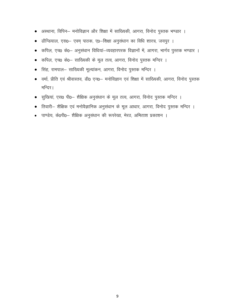- अस्थाना, विपिन— मनोविज्ञान और शिक्षा में साख्यिकी, आगरा, विनोद पुस्तक भण्डार ।
- ढौन्डियाल, एस0– एवम् पाठक, ए0–शिक्षा अनुसंधान का विधि शास्त्र, जयपुर ।
- कपिल, एच0 के0— अनुसंधान विधियां—व्यवहारपरक विज्ञानों में, आगरा, भार्गव पुस्तक भण्डार ।
- कपिल, एच0 के0– साख्यिकी के मूल तत्व, आगरा, विनोद पुस्तक मन्दिर ।
- सिंह, रामपाल— साख्यिकी मूल्यांकन, आगरा, विनोद पुस्तक मन्दिर ।
- वर्मा, प्रीति एवं श्रीवास्तव, डी0 एन0– मनोविज्ञान एवं शिक्षा में साख्यिकी, आगरा, विनोद पुस्तक मन्दिर।
- सुखियां, एस0 पी0– शैक्षिक अनुसंधान के मूल तत्व, आगरा, विनोद पुस्तक मन्दिर ।
- तिवारी– शैक्षिक एवं मनोवैज्ञानिक अनुसंधान के मूल आधार, आगरा, विनोद पुस्तक मन्दिर ।
- पाण्डेय, के0पी0— शैक्षिक अनुसंधान की रूपरेखा, मेरठ, अमिताश प्रकाशन ।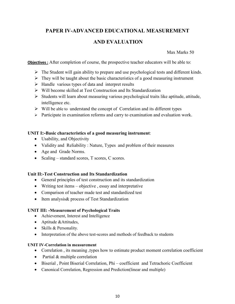# **PAPER IV-ADVANCED EDUCATIONAL MEASUREMENT**

# **AND EVALUATION**

Max Marks 50

**Objectives :** After completion of course, the prospective teacher educators will be able to:

- $\triangleright$  The Student will gain ability to prepare and use psychological tests and different kinds.
- $\triangleright$  They will be taught about the basic characteristics of a good measuring instrument
- $\triangleright$  Handle various types of data and interpret results
- Will become skilled at Test Construction and Its Standardization
- $\triangleright$  Students will learn about measuring various psychological traits like aptitude, attitude, intelligence etc.
- $\triangleright$  Will be able to understand the concept of Correlation and its different types
- $\triangleright$  Participate in examination reforms and carry to examination and evaluation work.

# **UNIT I:-Basic characteristics of a good measuring instrument**:

- Usability, and Objectivity
- Validity and Reliability : Nature, Types and problem of their measures
- Age and Grade Norms.
- Scaling standard scores, T scores, C scores.

# **Unit II:-Test Construction and Its Standardization**

- General principles of test construction and its standardization
- Writing test items objective, essay and interpretative
- Comparison of teacher made test and standardized test
- Item analysis & process of Test Standardization

# **UNIT III: -Measurement of Psychological Traits**

- Achievement, Interest and Intelligence
- Aptitude & Attitudes,
- Skills & Personality.
- Interpretation of the above test-scores and methods of feedback to students

# **UNIT IV-Correlation in measurement**

- Correlation, its meaning, types how to estimate product moment correlation coefficient
- Partial & multiple correlation
- Biserial , Point Biserial Correlation, Phi coefficient and Tetrachoric Coefficient
- Canonical Correlation, Regression and Prediction(linear and multiple)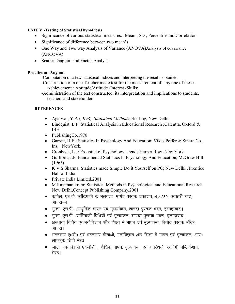### **UNIT V:-Testing of Statistical hypothesis**

- Significance of various statistical measures: Mean, SD, Percentile and Correlation
- Significance of difference between two mean's
- One Way and Two way Analysis of Variance (ANOVA) Analysis of covariance (ANCOVA)
- Scatter Diagram and Factor Analysis

### **Practicum -Any one**

- -Computation of a few statistical indices and interpreting the results obtained.
- -Construction of a one Teacher made test for the measurement of any one of these- Achievement / Aptitude/Attitude /Interest /Skills;
- -Administration of the test constructed, its interpretation and implications to students, teachers and stakeholders

# **REFERENCES**

- Agarwal, Y.P. (1998), *Statistical Methods*, Sterling, New Delhi.
- Lindquist, E.F; Statistical Analysis in Educational Research; Calcutta, Oxford & IBH
- PublishingCo.1970 $\cdot$
- Garrett, H.E.: Statistics In Psychology And Education: Vikas Peffer & Smara Co., Ins, NewYork.
- Cronbach, L.J: Essential of Psychology Trends Harper Row, New York.
- Guilford, J.P: Fundamental Statistics In Psychology And Education, McGraw Hill (1965).
- K V S Sharma, Statistics made Simple Do it Yourself on PC; New Delhi , Prentice Hall of India
- Private India Limited, 2001
- M Rajamanikram; Statistical Methods in Psychological and Educational Research New Delhi,Concept Publishing Company,2001
- कपिल, एच.के: सांख्यिकी के मूलतत्व, भार्गव पुस्तक प्रकाशन, 4 / 230, कचहरी घाट, आगरा $-4$
- गुप्ता, एस.पी.: आधुनिक मापन एवं मूलयांकन, शारदा पुस्तक भवन, इलाहाबाद।
- गुप्ता, एस.पी .:सांख्यिकी विधियॉ एवं मुल्यांकन, शारदा पुस्तक भवन, इलाहाबाद।
- अस्थाना विपिन एवं:मनोविज्ञान और शिक्षा में मापन एवं मुल्यांकन, विनोद पुस्तक मंदिर, आगरा।
- भटनागर ए0बी0 एवं भटनागर मीनाक्षी, मनोविज्ञान और शिक्षा में मापन एवं मृत्यांकन, आर0 लालबुक डिपो मेरठ
- लाल, रमनबिहारी एवंजोशी , शैक्षिक मापन, मूल्यांकन, एवं सांख्यिकी रस्तोगी पब्लिकेशन, मेरठ।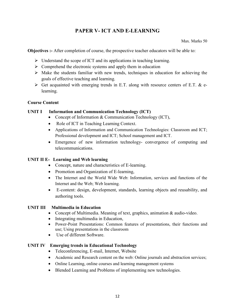# **PAPER V- ICT AND E-LEARNING**

Max. Marks 50

**Objectives :-** After completion of course, the prospective teacher educators will be able to:

- $\triangleright$  Understand the scope of ICT and its applications in teaching learning.
- $\triangleright$  Comprehend the electronic systems and apply them in education
- $\triangleright$  Make the students familiar with new trends, techniques in education for achieving the goals of effective teaching and learning.
- $\triangleright$  Get acquainted with emerging trends in E.T. along with resource centers of E.T. & elearning.

# **Course Content**

# **UNIT I Information and Communication Technology (ICT)**

- Concept of Information & Communication Technology (ICT),
- Role of ICT in Teaching Learning Context.
- Applications of Information and Communication Technologies: Classroom and ICT; Professional development and ICT; School management and ICT.
- Emergence of new information technology- convergence of computing and telecommunications.

# **UNIT II E- Learning and Web learning**

- Concept, nature and characteristics of E-learning.
- Promotion and Organization of E-learning,
- The Internet and the World Wide Web: Information, services and functions of the Internet and the Web; Web learning.
- E-content: design, development, standards, learning objects and reusability, and authoring tools.

# **UNIT III Multimedia in Education**

- Concept of Multimedia. Meaning of text, graphics, animation & audio-video.
- Integrating multimedia in Education,
- Power-Point Presentations: Common features of presentations, their functions and use; Using presentations in the classroom
- Use of different Software.

# **UNIT IV Emerging trends in Educational Technology**

- Teleconferencing, E-mail, Internet, Website
- Academic and Research content on the web: Online journals and abstraction services;
- Online Learning, online courses and learning management systems
- Blended Learning and Problems of implementing new technologies.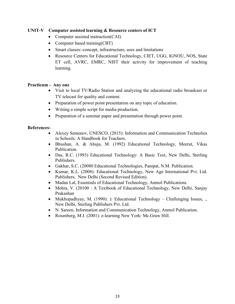# **UNIT-V Computer assisted learning & Resource centers of ICT**

- Computer assisted instruction(CAI)
- Computer based training(CBT)
- Smart classes:-concept, infrastructure, uses and limitations
- Resource Centers for Educational Technology, CIET, UGG, IGNOU, NOS, State ET cell, AVRC, EMRC, NIST their activity for improvement of teaching learning.

### **Practicum - Any one**

- Visit to local TV/Radio Station and analyzing the educational radio broadcast or TV telecast for quality and content.
- Preparation of power point presentation on any topic of education.
- Writing a simple script for media production.
- Preparation of a seminar paper and presentation through power point.

### **References-**

- Alexey Semenov, UNESCO, (2015): Information and Communication Technolies in Schools: A Handbook for Teachers.
- Bhushan, A. & Ahuja, M. (1992) Educational Technology, Meerut, Vikas Publication.
- Das, R.C. (1993) Educational Technology: A Basic Text, New Delhi, Sterling Publishers.
- Gakhar, S.C. (20080 Educational Technologies, Panipat, N.M. Publication.
- Kumar, K.L. (2008): Educational Technology, New Age International Pvt. Ltd. Publishers, New Delhi (Second Revised Edition).
- Madan Lal, Essentials of Educational Technology, Anmol Publications.
- Mehra, V. (20100 : A Textbook of Educational Technology, New Delhi, Sanjay Prakashan
- Mukhopadhyay, M. (1990): ): Educational Technology Challenging Issues, .. New Delhi, Sterling Publishers Pvt. Ltd.
- N. Sareen, Information and Communication Technology, Anmol Publication.
- Rosenberg, M.J. (2001): e-learning New York: Mc. Graw Hill.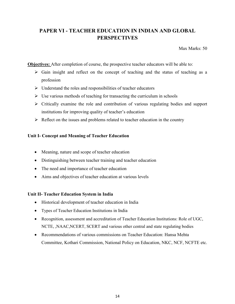# **PAPER VI - TEACHER EDUCATION IN INDIAN AND GLOBAL PERSPECTIVES**

Max Marks: 50

**Objectives:** After completion of course, the prospective teacher educators will be able to:

- $\triangleright$  Gain insight and reflect on the concept of teaching and the status of teaching as a profession
- $\triangleright$  Understand the roles and responsibilities of teacher educators
- $\triangleright$  Use various methods of teaching for transacting the curriculum in schools
- $\triangleright$  Critically examine the role and contribution of various regulating bodies and support institutions for improving quality of teacher's education
- $\triangleright$  Reflect on the issues and problems related to teacher education in the country

# **Unit I- Concept and Meaning of Teacher Education**

- Meaning, nature and scope of teacher education
- Distinguishing between teacher training and teacher education
- The need and importance of teacher education
- Aims and objectives of teacher education at various levels

# **Unit II- Teacher Education System in India**

- Historical development of teacher education in India
- Types of Teacher Education Institutions in India
- Recognition, assessment and accreditation of Teacher Education Institutions: Role of UGC, NCTE, ,NAAC,NCERT, SCERT and various other central and state regulating bodies
- Recommendations of various commissions on Teacher Education: Hansa Mehta Committee, Kothari Commission, National Policy on Education, NKC, NCF, NCFTE etc.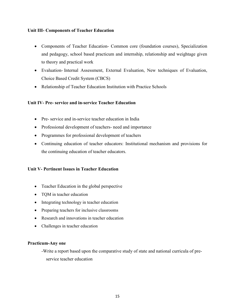### **Unit III- Components of Teacher Education**

- Components of Teacher Education- Common core (foundation courses), Specialization and pedagogy, school based practicum and internship, relationship and weightage given to theory and practical work
- Evaluation- Internal Assessment, External Evaluation, New techniques of Evaluation, Choice Based Credit System (CBCS)
- Relationship of Teacher Education Institution with Practice Schools

# **Unit IV- Pre- service and in-service Teacher Education**

- Pre- service and in-service teacher education in India
- Professional development of teachers- need and importance
- Programmes for professional development of teachers
- Continuing education of teacher educators: Institutional mechanism and provisions for the continuing education of teacher educators.

# **Unit V- Pertinent Issues in Teacher Education**

- Teacher Education in the global perspective
- TQM in teacher education
- Integrating technology in teacher education
- Preparing teachers for inclusive classrooms
- Research and innovations in teacher education
- Challenges in teacher education

### **Practicum-Any one**

-Write a report based upon the comparative study of state and national curricula of pre service teacher education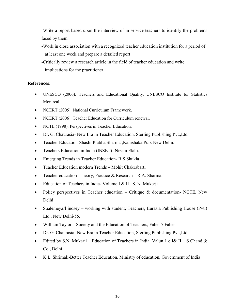-Write a report based upon the interview of in-service teachers to identify the problems faced by them

- -Work in close association with a recognized teacher education institution for a period of at least one week and prepare a detailed report
- -Critically review a research article in the field of teacher education and write implications for the practitioner.

# **References:**

- UNESCO (2006): Teachers and Educational Quality. UNESCO Institute for Statistics Montreal.
- NCERT (2005): National Curriculum Framework.
- NCERT (2006): Teacher Education for Curriculum renewal.
- NCTE (1998): Perspectives in Teacher Education.
- Dr. G. Chaurasia- New Era in Teacher Education, Sterling Publishing Pvt.,Ltd.
- Teacher Education-Shashi Prabha Sharma ,Kanishaka Pub. New Delhi.
- Teachers Education in India (INSET)- Nizam Elahi.
- Emerging Trends in Teacher Education- R S Shukla
- Teacher Education modern Trends Mohit Chakrabarti
- Teacher education- Theory, Practice & Research R.A. Sharma.
- Education of Teachers in India-Volume I & II S. N. Mukerji
- Policy perspectives in Teacher education Critique & documentation- NCTE, New Delhi
- Sualemeyarl indsey working with student, Teachers, Eurasla Publishing House (Pvt.) Ltd., New Delhi-55.
- William Taylor Society and the Education of Teachers, Faber 7 Faber
- Dr. G. Chaurasia- New Era in Teacher Education, Sterling Publishing Pvt., Ltd.
- Edited by S.N. Mukarji Education of Teachers in India, Valun 1 e I& II S Chand & Co., Delhi
- K.L. Shrimali-Better Teacher Education. Ministry of education, Government of India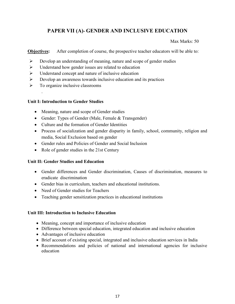# **PAPER VII (A)- GENDER AND INCLUSIVE EDUCATION**

Max Marks: 50

**Objectives:** After completion of course, the prospective teacher educators will be able to:

- $\triangleright$  Develop an understanding of meaning, nature and scope of gender studies
- $\triangleright$  Understand how gender issues are related to education
- Understand concept and nature of inclusive education
- $\triangleright$  Develop an awareness towards inclusive education and its practices
- $\triangleright$  To organize inclusive classrooms

# **Unit I: Introduction to Gender Studies**

- Meaning, nature and scope of Gender studies
- Gender: Types of Gender (Male, Female & Transgender)
- Culture and the formation of Gender Identities
- Process of socialization and gender disparity in family, school, community, religion and media, Social Exclusion based on gender
- Gender rules and Policies of Gender and Social Inclusion
- Role of gender studies in the 21st Century

# **Unit II: Gender Studies and Education**

- Gender differences and Gender discrimination, Causes of discrimination, measures to eradicate discrimination
- Gender bias in curriculum, teachers and educational institutions.
- Need of Gender studies for Teachers
- Teaching gender sensitization practices in educational institutions

# **Unit III: Introduction to Inclusive Education**

- Meaning, concept and importance of inclusive education
- Difference between special education, integrated education and inclusive education
- Advantages of inclusive education
- Brief account of existing special, integrated and inclusive education services in India
- Recommendations and policies of national and international agencies for inclusive education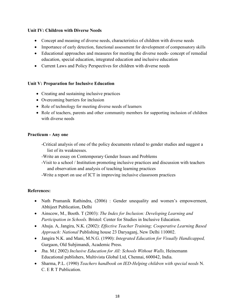# **Unit IV: Children with Diverse Needs**

- Concept and meaning of diverse needs, characteristics of children with diverse needs
- Importance of early detection, functional assessment for development of compensatory skills
- Educational approaches and measures for meeting the diverse needs- concept of remedial education, special education, integrated education and inclusive education
- Current Laws and Policy Perspectives for children with diverse needs

# **Unit V: Preparation for Inclusive Education**

- Creating and sustaining inclusive practices
- Overcoming barriers for inclusion
- Role of technology for meeting diverse needs of learners
- Role of teachers, parents and other community members for supporting inclusion of children with diverse needs

### **Practicum - Any one**

- -Critical analysis of one of the policy documents related to gender studies and suggest a list of its weaknesses.
- -Write an essay on Contemporary Gender Issues and Problems
- -Visit to a school / Institution promoting inclusive practices and discussion with teachers and observation and analysis of teaching learning practices
- -Write a report on use of ICT in improving inclusive classroom practices

# **References:**

- Nath Pramanik Rathindra, (2006) : Gender unequality and women's empowerment, Abhijeet Publication, Delhi
- Ainscow, M., Booth. T (2003): *The Index for Inclusion: Developing Learning and Participation in Schools.* Bristol: Center for Studies in Inclusive Education.
- Ahuja. A, Jangira, N.K. (2002): *Effective Teacher Training; Cooperative Learning Based Approach: National* Publishing house 23 Daryaganj, New Delhi 110002.
- Jangira N.K. and Mani, M.N.G. (1990): *Integrated Education for Visually Handicapped,*  Gurgaon, Old Subjimandi, Academic Press.
- Jha. M.( 2002) *Inclusive Education for All: Schools Without Walls,* Heinemann Educational publishers, Multivista Global Ltd, Chennai, 600042, India.
- Sharma, P.L. (1990) *Teachers handbook on IED-Helping children with special needs* N. C. E R T Publication.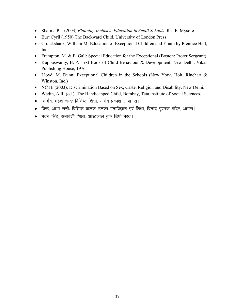- Sharma P.L (2003) *Planning Inclusive Education in Small Schools*, R .I E. Mysore
- Burt Cyril (1950) The Backward Child, University of London Press
- Cruickshank, William M: Education of Exceptional Children and Youth by Prentice Hall, Inc.
- Frampton, M. & E. Gall: Special Education for the Exceptional (Boston: Proter Sergeant)
- Kuppuswamy, B: A Text Book of Child Behaviour & Development, New Delhi, Vikas Publishing House, 1976.
- Lloyd, M. Dunn: Exceptional Children in the Schools (New York, Holt, Rinehart & Winston, Inc.)
- NCTE (2003). Discrimination Based on Sex, Caste, Religion and Disability, New Delhi.
- Wadin, A.R. (ed.): The Handicapped Child, Bombay, Tata institute of Social Sciences.
- भार्गव, महेश चन्दः विशिष्ट शिक्षा, भार्गव प्रकाशन, आगरा।
- विष्ट, आभा रानीः विशिष्ट बालक उनका मनोविज्ञान एवं शिक्षा, विनोद पुस्तक मंदिर, आगरा।
- मदन सिंह, समावेशी शिक्षा, आर0लाल बुक डिपो मेरठ।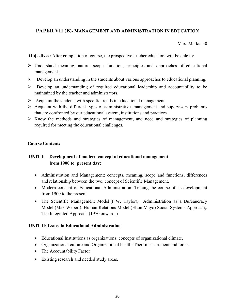# **PAPER VII (B)- MANAGEMENT AND ADMINISTRATION IN EDUCATION**

Max. Marks: 50

 **Objectives:** After completion of course, the prospective teacher educators will be able to:

- $\triangleright$  Understand meaning, nature, scope, function, principles and approaches of educational management.
- Develop an understanding in the students about various approaches to educational planning.
- Develop an understanding of required educational leadership and accountability to be maintained by the teacher and administrators.
- $\triangleright$  Acquaint the students with specific trends in educational management.
- $\triangleright$  Acquaint with the different types of administrative ,management and supervisory problems that are confronted by our educational system, institutions and practices.
- $\triangleright$  Know the methods and strategies of management, and need and strategies of planning required for meeting the educational challenges.

### **Course Content:**

# **UNIT I: Development of modern concept of educational management from 1900 to present day:**

- Administration and Management: concepts, meaning, scope and functions; differences and relationship between the two; concept of Scientific Management.
- Modern concept of Educational Administration: Tracing the course of its development from 1900 to the present.
- The Scientific Management Model.(F.W. Taylor), Administration as a Bureaucracy Model (Max Weber ). Human Relations Model (Elton Mayo) Social Systems Approach,. The Integrated Approach (1970 onwards)

# **UNIT II: Issues in Educational Administration**

- Educational Institutions as organizations: concepts of organizational climate,
- Organizational culture and Organizational health: Their measurement and tools.
- The Accountability Factor
- Existing research and needed study areas.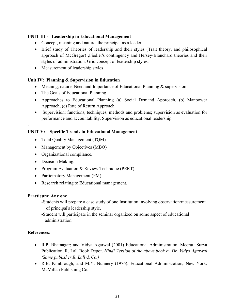# **UNIT III - Leadership in Educational Management**

- Concept, meaning and nature, the principal as a leader.
- Brief study of Theories of leadership and their styles (Trait theory, and philosophical approach of McGregor) ,Fiedler's contingency and Hersey-Blanchard theories and their styles of administration. Grid concept of leadership styles.
- Measurement of leadership styles

# **Unit IV: Planning & Supervision in Education**

- Meaning, nature, Need and Importance of Educational Planning & supervision
- The Goals of Educational Planning
- Approaches to Educational Planning (a) Social Demand Approach, (b) Manpower Approach, (c) Rate of Return Approach.
- Supervision: functions, techniques, methods and problems; supervision as evaluation for performance and accountability. Supervision as educational leadership.

# **UNIT V: Specific Trends in Educational Management**

- Total Quality Management (TQM)
- Management by Objectives (MBO)
- Organizational compliance.
- Decision Making.
- Program Evaluation & Review Technique (PERT)
- Participatory Management (PM).
- Research relating to Educational management.

# **Practicum: Any one**

**-**Students will prepare a case study of one Institution involving observation/measurement of principal's leadership style.

**-**Student will participate in the seminar organized on some aspect of educational administration.

# **References:**

.

- R.P. Bhatnagar; and Vidya Agarwal (2001) Educational Administration, Meerut: Surya Publication, R. Lall Book Depot. *Hindi Version of the above book by Dr. Vidya Agarwal (Same publisher R. Lall & Co.)*
- R.B. Kimbrough; and M.Y. Nunnery (1976). Educational Administration**,** New York: McMillan Publishing Co.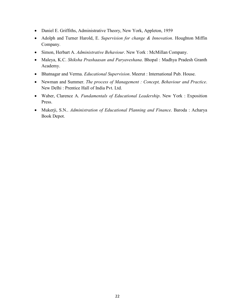- Daniel E. Griffiths, Administrative Theory, New York, Appleton, 1959
- Adolph and Turner Harold, E. *Supervision for change & Innovation*. Houghton Miffin Company.
- Simon, Herbart A. *Administrative Behaviour*. New York : McMillan Company.
- Maleya, K.C. *Shiksha Prashaasan and Paryaveshana*. Bhopal : Madhya Pradesh Granth Academy.
- Bhatnagar and Verma. *Educational Supervision*. Meerut : International Pub. House.
- Newman and Summer. *The process of Management : Concept, Behaviour and Practice*. New Delhi : Prentice Hall of India Pvt. Ltd.
- Waber, Clarence A. *Fundamentals of Educational Leadership*. New York : Exposition Press.
- Mukerji, S.N.. *Administration of Educational Planning and Finance*. Baroda : Acharya Book Depot.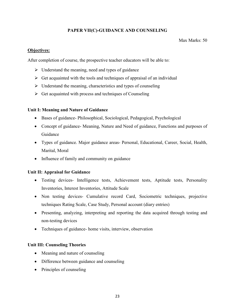# **PAPER VII(C)-GUIDANCE AND COUNSELING**

### Max Marks: 50

# **Objectives:**

After completion of course, the prospective teacher educators will be able to:

- $\triangleright$  Understand the meaning, need and types of guidance
- $\triangleright$  Get acquainted with the tools and techniques of appraisal of an individual
- $\triangleright$  Understand the meaning, characteristics and types of counseling
- $\triangleright$  Get acquainted with process and techniques of Counseling

# **Unit I: Meaning and Nature of Guidance**

- Bases of guidance- Philosophical, Sociological, Pedagogical, Psychological
- Concept of guidance- Meaning, Nature and Need of guidance, Functions and purposes of Guidance
- Types of guidance. Major guidance areas- Personal, Educational, Career, Social, Health, Marital, Moral
- Influence of family and community on guidance

# **Unit II: Appraisal for Guidance**

- Testing devices- Intelligence tests, Achievement tests, Aptitude tests, Personality Inventories, Interest Inventories, Attitude Scale
- Non testing devices- Cumulative record Card, Sociometric techniques, projective techniques Rating Scale, Case Study, Personal account (diary entries)
- Presenting, analyzing, interpreting and reporting the data acquired through testing and non-testing devices
- Techniques of guidance- home visits, interview, observation

# **Unit III: Counseling Theories**

- Meaning and nature of counseling
- Difference between guidance and counseling
- Principles of counseling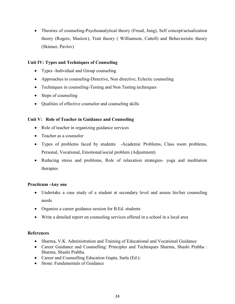• Theories of counseling-Psychoanalytical theory (Freud, Jung), Self concept/actualization theory (Rogers, Maslow), Trait theory ( Williamson, Cattell) and Behavioristic theory (Skinner, Pavlov)

# **Unit IV: Types and Techniques of Counseling**

- Types -Individual and Group counseling
- Approaches to counseling-Directive, Non directive, Eclectic counseling
- Techniques in counseling-Testing and Non Testing techniques
- Steps of counseling
- Qualities of effective counselor and counseling skills

### **Unit V: Role of Teacher in Guidance and Counseling**

- Role of teacher in organizing guidance services
- Teacher as a counselor
- Types of problems faced by students -Academic Problems, Class room problems, Personal, Vocational, Emotional/social problem (Adjustment)
- Reducing stress and problems, Role of relaxation strategies- yoga and meditation therapies

### **Practicum -Any one**

- Undertake a case study of a student at secondary level and assess his/her counseling needs
- Organize a career guidance session for B.Ed. students
- Write a detailed report on counseling services offered in a school in a local area

# **References**

- Sharma, V.K. Administration and Training of Educational and Vocational Guidance
- Career Guidance and Counselling: Principles and Techniques Sharma, Shashi Prabha : Sharma, Shashi Prabha.
- Career and Counselling Education Gupta, Sarla (Ed.):
- Stone: Fundamentals of Guidance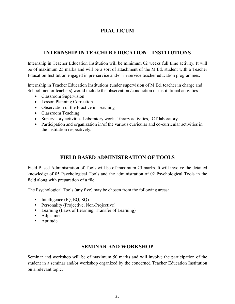# **PRACTICUM**

# **INTERNSHIP IN TEACHER EDUCATION INSTITUTIONS**

Internship in Teacher Education Institution will be minimum 02 weeks full time activity. It will be of maximum 25 marks and will be a sort of attachment of the M.Ed. student with a Teacher Education Institution engaged in pre-service and/or in-service teacher education programmes.

Internship in Teacher Education Institutions (under supervision of M.Ed. teacher in charge and School mentor teachers) would include the observation /conduction of institutional activities-

- Classroom Supervision
- Lesson Planning Correction
- Observation of the Practice in Teaching
- Classroom Teaching
- Supervisory activities-Laboratory work , Library activities, ICT laboratory
- Participation and organization in/of the various curricular and co-curricular activities in the institution respectively.

# **FIELD BASED ADMINISTRATION OF TOOLS**

Field Based Administration of Tools will be of maximum 25 marks. It will involve the detailed knowledge of 05 Psychological Tools and the administration of 02 Psychological Tools in the field along with preparation of a file.

The Psychological Tools (any five) may be chosen from the following areas:

- Intelligence (IQ, EQ, SQ)
- **Personality (Projective, Non-Projective)**
- **Learning (Laws of Learning, Transfer of Learning)**
- Adjustment
- Aptitude

# **SEMINAR AND WORKSHOP**

Seminar and workshop will be of maximum 50 marks and will involve the participation of the student in a seminar and/or workshop organized by the concerned Teacher Education Institution on a relevant topic.